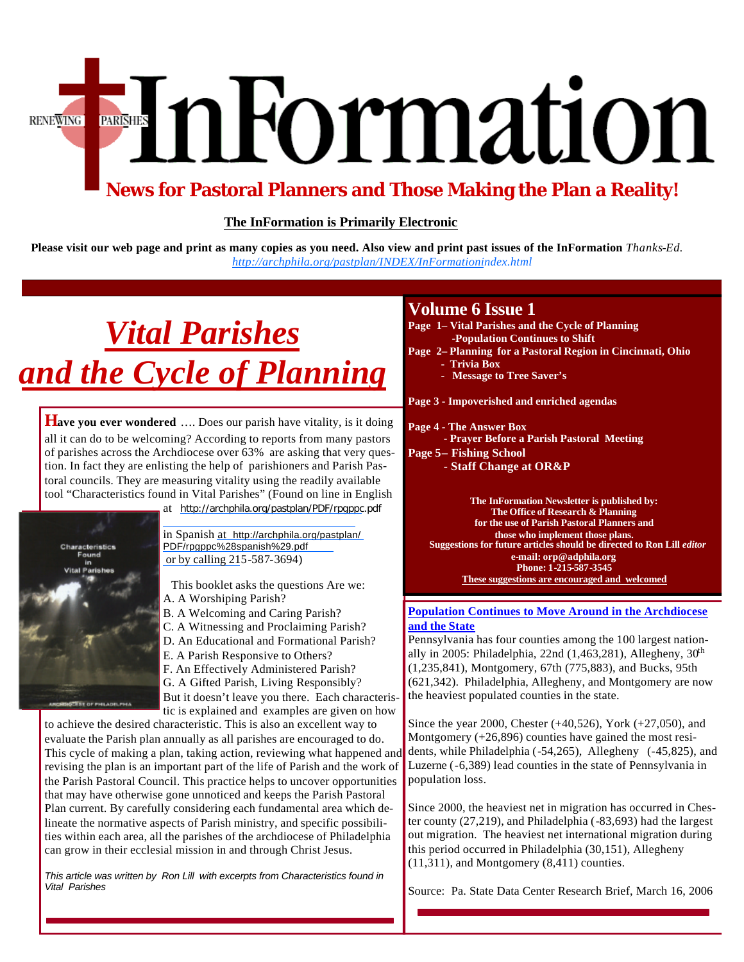# EnFormation **RENEWING**

## **News for Pastoral Planners and Those Making the Plan a Reality!**

### **The InFormation is Primarily Electronic**

**Please visit our web page and print as many copies as you need. Also view and print past issues of the InFormation** *Thanks-Ed. http://archphila.org/pastplan/INDEX/InFormationindex.html*

## *Vital Parishes and the Cycle of Planning*

**Have you ever wondered** .... Does our parish have vitality, is it doing all it can do to be welcoming? According to reports from many pastors of parishes across the Archdiocese over 63% are asking that very question. In fact they are enlisting the help of parishioners and Parish Pastoral councils. They are measuring vitality using the readily available tool "Characteristics found in Vital Parishes" (Found on line in English



at <http://archphila.org/pastplan/PDF/rpgppc.pdf>

in Spanish at http://archphila.org/pastplan/ [PDF/rpgppc%28spanish%29.pdf](http://archphila.org/pastplan/PDF/rpgppc%28spanish%29.pdf) or by calling 215-587-3694)

 This booklet asks the questions Are we: A. A Worshiping Parish?

- B. A Welcoming and Caring Parish?
- C. A Witnessing and Proclaiming Parish?
- D. An Educational and Formational Parish?
- E. A Parish Responsive to Others?
- F. An Effectively Administered Parish?
- G. A Gifted Parish, Living Responsibly? But it doesn't leave you there. Each characteris-

tic is explained and examples are given on how

to achieve the desired characteristic. This is also an excellent way to evaluate the Parish plan annually as all parishes are encouraged to do. This cycle of making a plan, taking action, reviewing what happened and revising the plan is an important part of the life of Parish and the work of the Parish Pastoral Council. This practice helps to uncover opportunities that may have otherwise gone unnoticed and keeps the Parish Pastoral Plan current. By carefully considering each fundamental area which delineate the normative aspects of Parish ministry, and specific possibilities within each area, all the parishes of the archdiocese of Philadelphia can grow in their ecclesial mission in and through Christ Jesus.

*This article was written by Ron Lill with excerpts from Characteristics found in Vital Parishes*

## **Volume 6 Issue 1**

- **Page 1– Vital Parishes and the Cycle of Planning -Population Continues to Shift**
- **Page 2– Planning for a Pastoral Region in Cincinnati, Ohio**
	- **Trivia Box**
	- **Message to Tree Saver's**

**Page 3 - Impoverished and enriched agendas** 

### **Page 4 - The Answer Box**

 **- Prayer Before a Parish Pastoral Meeting**

- **Page 5– Fishing School**
	- **Staff Change at OR&P**

**The InFormation Newsletter is published by: The Office of Research & Planning for the use of Parish Pastoral Planners and those who implement those plans. Suggestions for future articles should be directed to Ron Lill** *editor*  **e-mail: orp@adphila.org Phone: 1-215-587-3545 These suggestions are encouraged and welcomed** 

### **Population Continues to Move Around in the Archdiocese and the State**

Pennsylvania has four counties among the 100 largest nationally in 2005: Philadelphia, 22nd (1,463,281), Allegheny,  $30<sup>th</sup>$ (1,235,841), Montgomery, 67th (775,883), and Bucks, 95th (621,342). Philadelphia, Allegheny, and Montgomery are now the heaviest populated counties in the state.

Since the year 2000, Chester (+40,526), York (+27,050), and Montgomery (+26,896) counties have gained the most residents, while Philadelphia (-54,265), Allegheny (-45,825), and Luzerne (-6,389) lead counties in the state of Pennsylvania in population loss.

Since 2000, the heaviest net in migration has occurred in Chester county (27,219), and Philadelphia (-83,693) had the largest out migration. The heaviest net international migration during this period occurred in Philadelphia (30,151), Allegheny (11,311), and Montgomery (8,411) counties.

Source: Pa. State Data Center Research Brief, March 16, 2006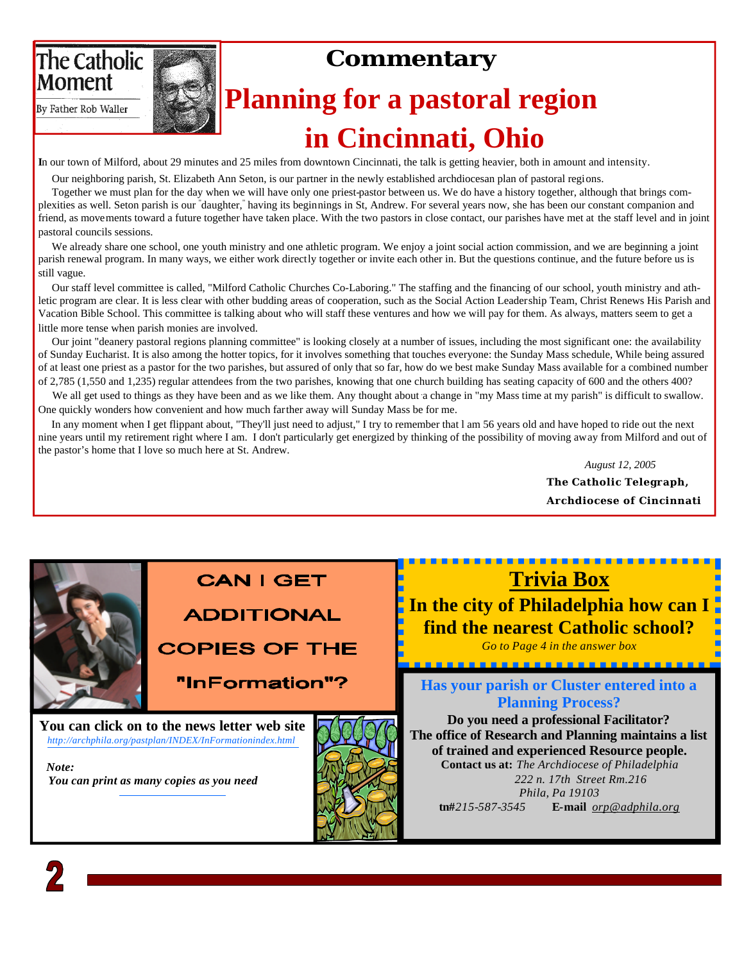## The Catholic **Moment**

## **Commentary**

By Father Rob Waller

## **Planning for a pastoral region in Cincinnati, Ohio**

**I**n our town of Milford, about 29 minutes and 25 miles from downtown Cincinnati, the talk is getting heavier, both in amount and intensity.

Our neighboring parish, St. Elizabeth Ann Seton, is our partner in the newly established archdiocesan plan of pastoral regions.

 Together we must plan for the day when we will have only one priest-pastor between us. We do have a history together, although that brings complexities as well. Seton parish is our "daughter," having its beginnings in St, Andrew. For several years now, she has been our constant companion and friend, as movements toward a future together have taken place. With the two pastors in close contact, our parishes have met at the staff level and in joint pastoral councils sessions.

We already share one school, one youth ministry and one athletic program. We enjoy a joint social action commission, and we are beginning a joint parish renewal program. In many ways, we either work directly together or invite each other in. But the questions continue, and the future before us is still vague.

 Our staff level committee is called, "Milford Catholic Churches Co-Laboring." The staffing and the financing of our school, youth ministry and athletic program are clear. It is less clear with other budding areas of cooperation, such as the Social Action Leadership Team, Christ Renews His Parish and Vacation Bible School. This committee is talking about who will staff these ventures and how we will pay for them. As always, matters seem to get a little more tense when parish monies are involved.

 Our joint "deanery pastoral regions planning committee" is looking closely at a number of issues, including the most significant one: the availability of Sunday Eucharist. It is also among the hotter topics, for it involves something that touches everyone: the Sunday Mass schedule, While being assured of at least one priest as a pastor for the two parishes, but assured of only that so far, how do we best make Sunday Mass available for a combined number of 2,785 (1,550 and 1,235) regular attendees from the two parishes, knowing that one church building has seating capacity of 600 and the others 400?

We all get used to things as they have been and as we like them. Any thought about a change in "my Mass time at my parish" is difficult to swallow. One quickly wonders how convenient and how much farther away will Sunday Mass be for me.

 In any moment when I get flippant about, "They'll just need to adjust," I try to remember that l am 56 years old and have hoped to ride out the next nine years until my retirement right where I am. I don't particularly get energized by thinking of the possibility of moving away from Milford and out of the pastor's home that I love so much here at St. Andrew.

> *August 12, 2005* **The Catholic Telegraph, Archdiocese of Cincinnati**

## **CAN I GET**

## **ADDITIONAL**

**COPIES OF THE** 

"InFormation"?

**You can click on to the news letter web site** *<http://archphila.org/pastplan/INDEX/InFormationindex.html>*

 *Note: You can print as many copies as you need*



## **Trivia Box**

**In the city of Philadelphia how can I find the nearest Catholic school?**  *Go to Page 4 in the answer box*

------------------------

**Has your parish or Cluster entered into a Planning Process?** 

**Do you need a professional Facilitator? The office of Research and Planning maintains a list of trained and experienced Resource people.**

**Contact us at:** *The Archdiocese of Philadelphia 222 n. 17th Street Rm.216 Phila, Pa 19103*  **tn#***215-587-3545* **E-mail** *orp@adphila.org* 

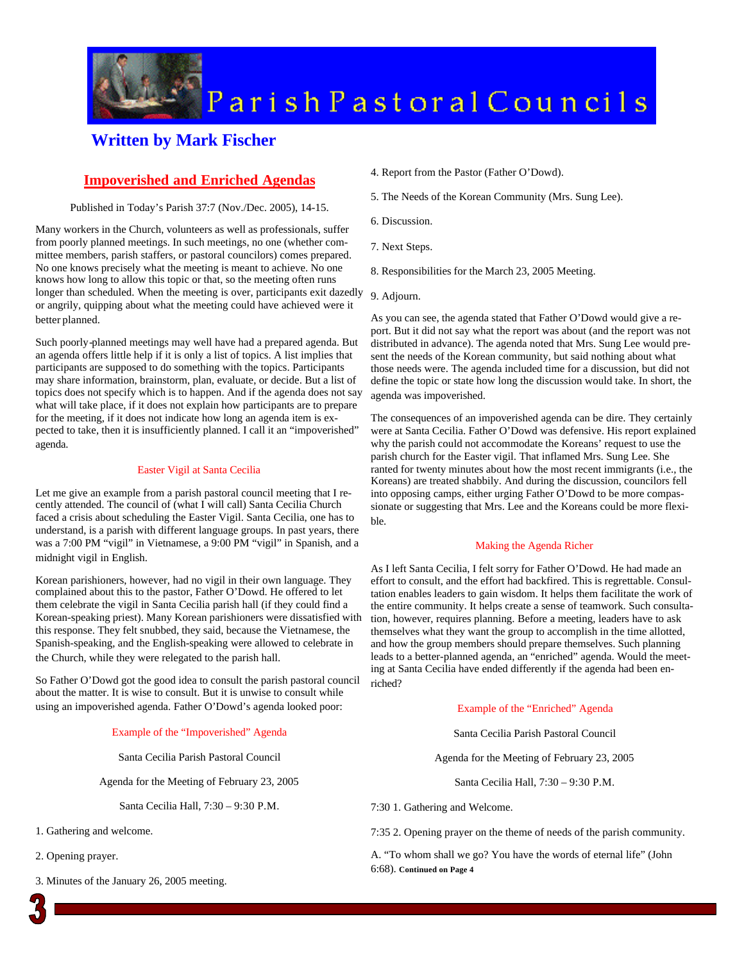

## Parish Pastoral Councils

## **Written by Mark Fischer**

### **Impoverished and Enriched Agendas**

#### Published in Today's Parish 37:7 (Nov./Dec. 2005), 14-15.

Many workers in the Church, volunteers as well as professionals, suffer from poorly planned meetings. In such meetings, no one (whether committee members, parish staffers, or pastoral councilors) comes prepared. No one knows precisely what the meeting is meant to achieve. No one knows how long to allow this topic or that, so the meeting often runs longer than scheduled. When the meeting is over, participants exit dazedly or angrily, quipping about what the meeting could have achieved were it better planned.

Such poorly-planned meetings may well have had a prepared agenda. But an agenda offers little help if it is only a list of topics. A list implies that participants are supposed to do something with the topics. Participants may share information, brainstorm, plan, evaluate, or decide. But a list of topics does not specify which is to happen. And if the agenda does not say what will take place, if it does not explain how participants are to prepare for the meeting, if it does not indicate how long an agenda item is expected to take, then it is insufficiently planned. I call it an "impoverished" agenda.

#### Easter Vigil at Santa Cecilia

Let me give an example from a parish pastoral council meeting that I recently attended. The council of (what I will call) Santa Cecilia Church faced a crisis about scheduling the Easter Vigil. Santa Cecilia, one has to understand, is a parish with different language groups. In past years, there was a 7:00 PM "vigil" in Vietnamese, a 9:00 PM "vigil" in Spanish, and a midnight vigil in English.

Korean parishioners, however, had no vigil in their own language. They complained about this to the pastor, Father O'Dowd. He offered to let them celebrate the vigil in Santa Cecilia parish hall (if they could find a Korean-speaking priest). Many Korean parishioners were dissatisfied with this response. They felt snubbed, they said, because the Vietnamese, the Spanish-speaking, and the English-speaking were allowed to celebrate in the Church, while they were relegated to the parish hall.

So Father O'Dowd got the good idea to consult the parish pastoral council about the matter. It is wise to consult. But it is unwise to consult while using an impoverished agenda. Father O'Dowd's agenda looked poor:

#### Example of the "Impoverished" Agenda

Santa Cecilia Parish Pastoral Council

Agenda for the Meeting of February 23, 2005

Santa Cecilia Hall, 7:30 – 9:30 P.M.

- 1. Gathering and welcome.
- 2. Opening prayer.
- 3. Minutes of the January 26, 2005 meeting.
- 4. Report from the Pastor (Father O'Dowd).
- 5. The Needs of the Korean Community (Mrs. Sung Lee).
- 6. Discussion.
- 7. Next Steps.
- 8. Responsibilities for the March 23, 2005 Meeting.
- 9. Adjourn.

As you can see, the agenda stated that Father O'Dowd would give a report. But it did not say what the report was about (and the report was not distributed in advance). The agenda noted that Mrs. Sung Lee would present the needs of the Korean community, but said nothing about what those needs were. The agenda included time for a discussion, but did not define the topic or state how long the discussion would take. In short, the agenda was impoverished.

The consequences of an impoverished agenda can be dire. They certainly were at Santa Cecilia. Father O'Dowd was defensive. His report explained why the parish could not accommodate the Koreans' request to use the parish church for the Easter vigil. That inflamed Mrs. Sung Lee. She ranted for twenty minutes about how the most recent immigrants (i.e., the Koreans) are treated shabbily. And during the discussion, councilors fell into opposing camps, either urging Father O'Dowd to be more compassionate or suggesting that Mrs. Lee and the Koreans could be more flexible.

#### Making the Agenda Richer

As I left Santa Cecilia, I felt sorry for Father O'Dowd. He had made an effort to consult, and the effort had backfired. This is regrettable. Consultation enables leaders to gain wisdom. It helps them facilitate the work of the entire community. It helps create a sense of teamwork. Such consultation, however, requires planning. Before a meeting, leaders have to ask themselves what they want the group to accomplish in the time allotted, and how the group members should prepare themselves. Such planning leads to a better-planned agenda, an "enriched" agenda. Would the meeting at Santa Cecilia have ended differently if the agenda had been enriched?

#### Example of the "Enriched" Agenda

Santa Cecilia Parish Pastoral Council

Agenda for the Meeting of February 23, 2005

Santa Cecilia Hall, 7:30 – 9:30 P.M.

7:30 1. Gathering and Welcome.

7:35 2. Opening prayer on the theme of needs of the parish community.

A. "To whom shall we go? You have the words of eternal life" (John 6:68). **Continued on Page 4**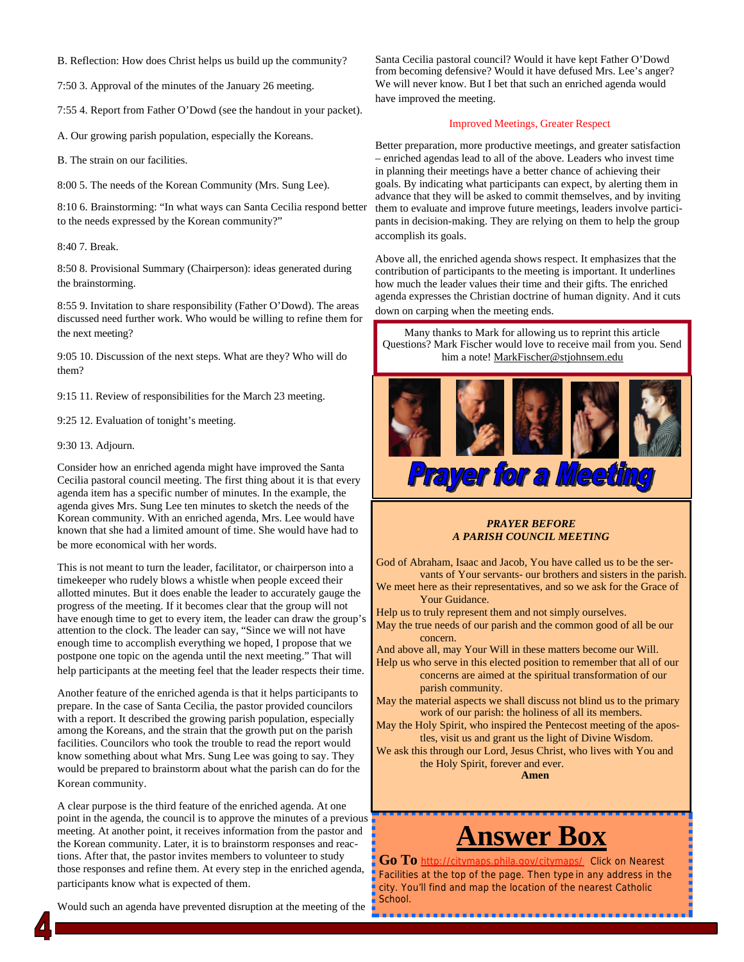B. Reflection: How does Christ helps us build up the community?

7:50 3. Approval of the minutes of the January 26 meeting.

7:55 4. Report from Father O'Dowd (see the handout in your packet).

A. Our growing parish population, especially the Koreans.

B. The strain on our facilities.

8:00 5. The needs of the Korean Community (Mrs. Sung Lee).

8:10 6. Brainstorming: "In what ways can Santa Cecilia respond better to the needs expressed by the Korean community?"

8:40 7. Break.

8:50 8. Provisional Summary (Chairperson): ideas generated during the brainstorming.

8:55 9. Invitation to share responsibility (Father O'Dowd). The areas discussed need further work. Who would be willing to refine them for the next meeting?

9:05 10. Discussion of the next steps. What are they? Who will do them?

9:15 11. Review of responsibilities for the March 23 meeting.

9:25 12. Evaluation of tonight's meeting.

#### 9:30 13. Adjourn.

Consider how an enriched agenda might have improved the Santa Cecilia pastoral council meeting. The first thing about it is that every agenda item has a specific number of minutes. In the example, the agenda gives Mrs. Sung Lee ten minutes to sketch the needs of the Korean community. With an enriched agenda, Mrs. Lee would have known that she had a limited amount of time. She would have had to be more economical with her words.

This is not meant to turn the leader, facilitator, or chairperson into a timekeeper who rudely blows a whistle when people exceed their allotted minutes. But it does enable the leader to accurately gauge the progress of the meeting. If it becomes clear that the group will not have enough time to get to every item, the leader can draw the group's attention to the clock. The leader can say, "Since we will not have enough time to accomplish everything we hoped, I propose that we postpone one topic on the agenda until the next meeting." That will help participants at the meeting feel that the leader respects their time.

Another feature of the enriched agenda is that it helps participants to prepare. In the case of Santa Cecilia, the pastor provided councilors with a report. It described the growing parish population, especially among the Koreans, and the strain that the growth put on the parish facilities. Councilors who took the trouble to read the report would know something about what Mrs. Sung Lee was going to say. They would be prepared to brainstorm about what the parish can do for the Korean community.

A clear purpose is the third feature of the enriched agenda. At one point in the agenda, the council is to approve the minutes of a previous meeting. At another point, it receives information from the pastor and the Korean community. Later, it is to brainstorm responses and reactions. After that, the pastor invites members to volunteer to study those responses and refine them. At every step in the enriched agenda, participants know what is expected of them.

Would such an agenda have prevented disruption at the meeting of the

Santa Cecilia pastoral council? Would it have kept Father O'Dowd from becoming defensive? Would it have defused Mrs. Lee's anger? We will never know. But I bet that such an enriched agenda would have improved the meeting.

#### Improved Meetings, Greater Respect

Better preparation, more productive meetings, and greater satisfaction – enriched agendas lead to all of the above. Leaders who invest time in planning their meetings have a better chance of achieving their goals. By indicating what participants can expect, by alerting them in advance that they will be asked to commit themselves, and by inviting them to evaluate and improve future meetings, leaders involve participants in decision-making. They are relying on them to help the group accomplish its goals.

Above all, the enriched agenda shows respect. It emphasizes that the contribution of participants to the meeting is important. It underlines how much the leader values their time and their gifts. The enriched agenda expresses the Christian doctrine of human dignity. And it cuts down on carping when the meeting ends.

Many thanks to Mark for allowing us to reprint this article Questions? Mark Fischer would love to receive mail from you. Send him a note! MarkFischer@stjohnsem.edu



#### *PRAYER BEFORE A PARISH COUNCIL MEETING*

God of Abraham, Isaac and Jacob, You have called us to be the servants of Your servants- our brothers and sisters in the parish.

We meet here as their representatives, and so we ask for the Grace of Your Guidance.

Help us to truly represent them and not simply ourselves.

May the true needs of our parish and the common good of all be our concern.

And above all, may Your Will in these matters become our Will.

Help us who serve in this elected position to remember that all of our concerns are aimed at the spiritual transformation of our parish community.

May the material aspects we shall discuss not blind us to the primary work of our parish: the holiness of all its members.

May the Holy Spirit, who inspired the Pentecost meeting of the apostles, visit us and grant us the light of Divine Wisdom.

We ask this through our Lord, Jesus Christ, who lives with You and the Holy Spirit, forever and ever.

**Amen**

## **Answer Box**

**Go To** http://citymaps.phila.gov/citymaps/ Click on Nearest Facilities at the top of the page. Then type in any address in the city. You'll find and map the location of the nearest Catholic School.